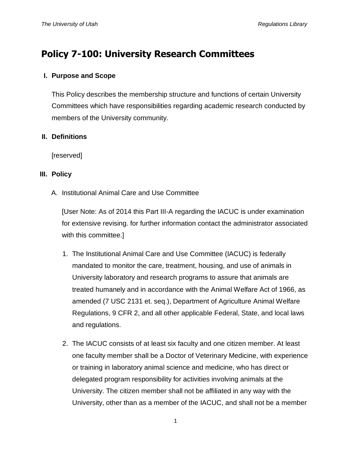# **Policy 7-100: University Research Committees**

# **I. Purpose and Scope**

This Policy describes the membership structure and functions of certain University Committees which have responsibilities regarding academic research conducted by members of the University community.

# **II. Definitions**

[reserved]

## **III. Policy**

A. Institutional Animal Care and Use Committee

[User Note: As of 2014 this Part III-A regarding the IACUC is under examination for extensive revising. for further information contact the administrator associated with this committee.]

- 1. The Institutional Animal Care and Use Committee (IACUC) is federally mandated to monitor the care, treatment, housing, and use of animals in University laboratory and research programs to assure that animals are treated humanely and in accordance with the Animal Welfare Act of 1966, as amended (7 USC 2131 et. seq.), Department of Agriculture Animal Welfare Regulations, 9 CFR 2, and all other applicable Federal, State, and local laws and regulations.
- 2. The IACUC consists of at least six faculty and one citizen member. At least one faculty member shall be a Doctor of Veterinary Medicine, with experience or training in laboratory animal science and medicine, who has direct or delegated program responsibility for activities involving animals at the University. The citizen member shall not be affiliated in any way with the University, other than as a member of the IACUC, and shall not be a member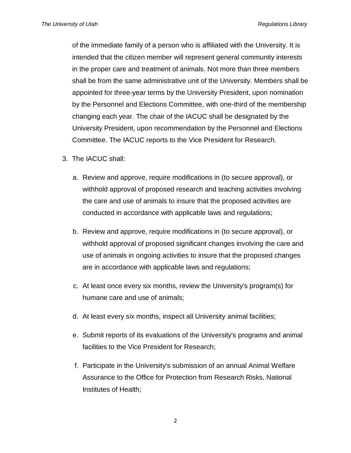of the immediate family of a person who is affiliated with the University. It is intended that the citizen member will represent general community interests in the proper care and treatment of animals. Not more than three members shall be from the same administrative unit of the University. Members shall be appointed for three-year terms by the University President, upon nomination by the Personnel and Elections Committee, with one-third of the membership changing each year. The chair of the IACUC shall be designated by the University President, upon recommendation by the Personnel and Elections Committee. The IACUC reports to the Vice President for Research.

- 3. The IACUC shall:
	- a. Review and approve, require modifications in (to secure approval), or withhold approval of proposed research and teaching activities involving the care and use of animals to insure that the proposed activities are conducted in accordance with applicable laws and regulations;
	- b. Review and approve, require modifications in (to secure approval), or withhold approval of proposed significant changes involving the care and use of animals in ongoing activities to insure that the proposed changes are in accordance with applicable laws and regulations;
	- c. At least once every six months, review the University's program(s) for humane care and use of animals;
	- d. At least every six months, inspect all University animal facilities;
	- e. Submit reports of its evaluations of the University's programs and animal facilities to the Vice President for Research;
	- f. Participate in the University's submission of an annual Animal Welfare Assurance to the Office for Protection from Research Risks, National Institutes of Health;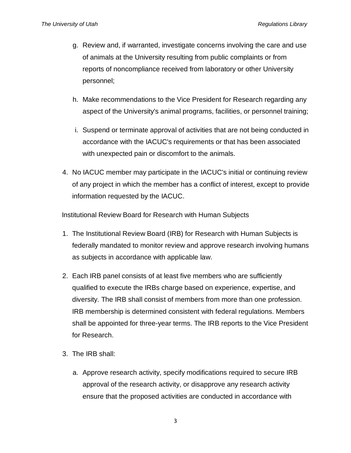- g. Review and, if warranted, investigate concerns involving the care and use of animals at the University resulting from public complaints or from reports of noncompliance received from laboratory or other University personnel;
- h. Make recommendations to the Vice President for Research regarding any aspect of the University's animal programs, facilities, or personnel training;
- i. Suspend or terminate approval of activities that are not being conducted in accordance with the IACUC's requirements or that has been associated with unexpected pain or discomfort to the animals.
- 4. No IACUC member may participate in the IACUC's initial or continuing review of any project in which the member has a conflict of interest, except to provide information requested by the IACUC.

Institutional Review Board for Research with Human Subjects

- 1. The Institutional Review Board (IRB) for Research with Human Subjects is federally mandated to monitor review and approve research involving humans as subjects in accordance with applicable law.
- 2. Each IRB panel consists of at least five members who are sufficiently qualified to execute the IRBs charge based on experience, expertise, and diversity. The IRB shall consist of members from more than one profession. IRB membership is determined consistent with federal regulations. Members shall be appointed for three-year terms. The IRB reports to the Vice President for Research.
- 3. The IRB shall:
	- a. Approve research activity, specify modifications required to secure IRB approval of the research activity, or disapprove any research activity ensure that the proposed activities are conducted in accordance with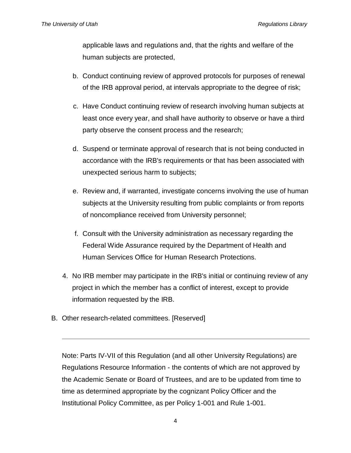applicable laws and regulations and, that the rights and welfare of the human subjects are protected,

- b. Conduct continuing review of approved protocols for purposes of renewal of the IRB approval period, at intervals appropriate to the degree of risk;
- c. Have Conduct continuing review of research involving human subjects at least once every year, and shall have authority to observe or have a third party observe the consent process and the research;
- d. Suspend or terminate approval of research that is not being conducted in accordance with the IRB's requirements or that has been associated with unexpected serious harm to subjects;
- e. Review and, if warranted, investigate concerns involving the use of human subjects at the University resulting from public complaints or from reports of noncompliance received from University personnel;
- f. Consult with the University administration as necessary regarding the Federal Wide Assurance required by the Department of Health and Human Services Office for Human Research Protections.
- 4. No IRB member may participate in the IRB's initial or continuing review of any project in which the member has a conflict of interest, except to provide information requested by the IRB.
- B. Other research-related committees. [Reserved]

Note: Parts IV-VII of this Regulation (and all other University Regulations) are Regulations Resource Information - the contents of which are not approved by the Academic Senate or Board of Trustees, and are to be updated from time to time as determined appropriate by the cognizant Policy Officer and the Institutional Policy Committee, as per Policy 1-001 and Rule 1-001.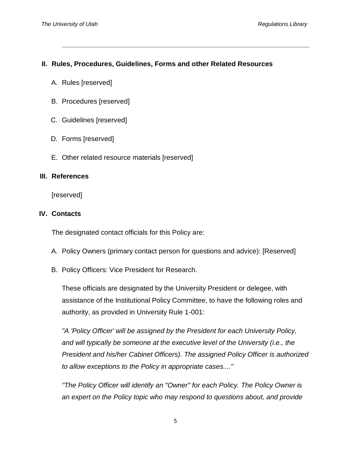## **II. Rules, Procedures, Guidelines, Forms and other Related Resources**

- A. Rules [reserved]
- B. Procedures [reserved]
- C. Guidelines [reserved]
- D. Forms [reserved]
- E. Other related resource materials [reserved]

### **III. References**

[reserved]

### **IV. Contacts**

The designated contact officials for this Policy are:

- A. Policy Owners (primary contact person for questions and advice): [Reserved]
- B. Policy Officers: Vice President for Research.

These officials are designated by the University President or delegee, with assistance of the Institutional Policy Committee, to have the following roles and authority, as provided in University Rule 1-001:

*"A 'Policy Officer' will be assigned by the President for each University Policy, and will typically be someone at the executive level of the University (i.e., the President and his/her Cabinet Officers). The assigned Policy Officer is authorized to allow exceptions to the Policy in appropriate cases...."*

*"The Policy Officer will identify an "Owner" for each Policy. The Policy Owner is an expert on the Policy topic who may respond to questions about, and provide*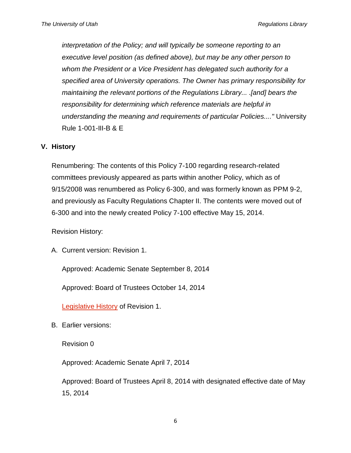*interpretation of the Policy; and will typically be someone reporting to an executive level position (as defined above), but may be any other person to whom the President or a Vice President has delegated such authority for a specified area of University operations. The Owner has primary responsibility for maintaining the relevant portions of the Regulations Library... .[and] bears the responsibility for determining which reference materials are helpful in understanding the meaning and requirements of particular Policies...."* University Rule 1-001-III-B & E

### **V. History**

Renumbering: The contents of this Policy 7-100 regarding research-related committees previously appeared as parts within another Policy, which as of 9/15/2008 was renumbered as Policy 6-300, and was formerly known as PPM 9-2, and previously as Faculty Regulations Chapter II. The contents were moved out of 6-300 and into the newly created Policy 7-100 effective May 15, 2014.

Revision History:

A. Current version: Revision 1.

Approved: Academic Senate September 8, 2014

Approved: Board of Trustees October 14, 2014

[Legislative History](http://regulations.utah.edu/research/revisions_7/Policy%207-100.R1a%20History.pdf) of Revision 1.

B. Earlier versions:

Revision 0

Approved: Academic Senate April 7, 2014

Approved: Board of Trustees April 8, 2014 with designated effective date of May 15, 2014